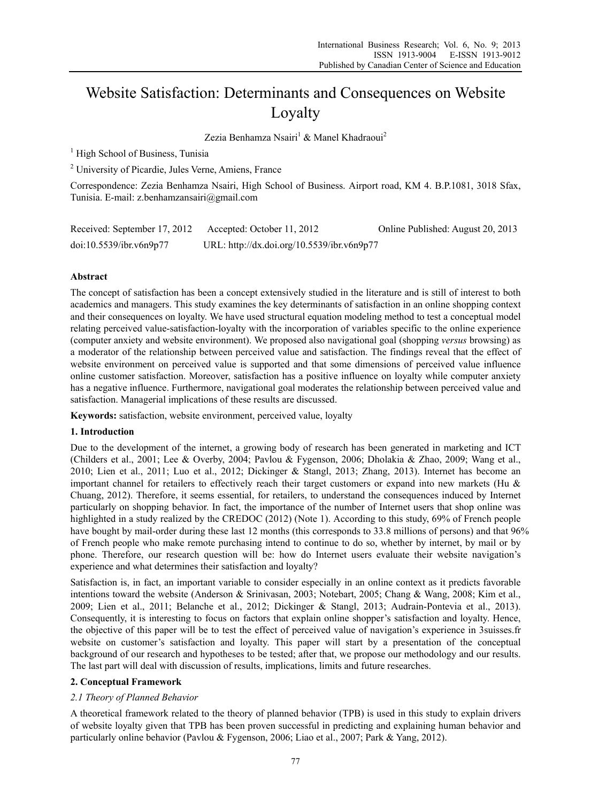# Website Satisfaction: Determinants and Consequences on Website Loyalty

Zezia Benhamza Nsairi<sup>1</sup> & Manel Khadraoui<sup>2</sup>

<sup>1</sup> High School of Business, Tunisia

<sup>2</sup> University of Picardie, Jules Verne, Amiens, France

Correspondence: Zezia Benhamza Nsairi, High School of Business. Airport road, KM 4. B.P.1081, 3018 Sfax, Tunisia. E-mail: z.benhamzansairi@gmail.com

| Received: September 17, 2012 | Accepted: October 11, 2012                 | Online Published: August 20, 2013 |
|------------------------------|--------------------------------------------|-----------------------------------|
| doi:10.5539/ibr.v6n9p77      | URL: http://dx.doi.org/10.5539/ibr.v6n9p77 |                                   |

# **Abstract**

The concept of satisfaction has been a concept extensively studied in the literature and is still of interest to both academics and managers. This study examines the key determinants of satisfaction in an online shopping context and their consequences on loyalty. We have used structural equation modeling method to test a conceptual model relating perceived value-satisfaction-loyalty with the incorporation of variables specific to the online experience (computer anxiety and website environment). We proposed also navigational goal (shopping *versus* browsing) as a moderator of the relationship between perceived value and satisfaction. The findings reveal that the effect of website environment on perceived value is supported and that some dimensions of perceived value influence online customer satisfaction. Moreover, satisfaction has a positive influence on loyalty while computer anxiety has a negative influence. Furthermore, navigational goal moderates the relationship between perceived value and satisfaction. Managerial implications of these results are discussed.

**Keywords:** satisfaction, website environment, perceived value, loyalty

# **1. Introduction**

Due to the development of the internet, a growing body of research has been generated in marketing and ICT (Childers et al., 2001; Lee & Overby, 2004; Pavlou & Fygenson, 2006; Dholakia & Zhao, 2009; Wang et al., 2010; Lien et al., 2011; Luo et al., 2012; Dickinger & Stangl, 2013; Zhang, 2013). Internet has become an important channel for retailers to effectively reach their target customers or expand into new markets (Hu & Chuang, 2012). Therefore, it seems essential, for retailers, to understand the consequences induced by Internet particularly on shopping behavior. In fact, the importance of the number of Internet users that shop online was highlighted in a study realized by the CREDOC (2012) (Note 1). According to this study, 69% of French people have bought by mail-order during these last 12 months (this corresponds to 33.8 millions of persons) and that 96% of French people who make remote purchasing intend to continue to do so, whether by internet, by mail or by phone. Therefore, our research question will be: how do Internet users evaluate their website navigation's experience and what determines their satisfaction and loyalty?

Satisfaction is, in fact, an important variable to consider especially in an online context as it predicts favorable intentions toward the website (Anderson & Srinivasan, 2003; Notebart, 2005; Chang & Wang, 2008; Kim et al., 2009; Lien et al., 2011; Belanche et al., 2012; Dickinger & Stangl, 2013; Audrain-Pontevia et al., 2013). Consequently, it is interesting to focus on factors that explain online shopper's satisfaction and loyalty. Hence, the objective of this paper will be to test the effect of perceived value of navigation's experience in 3suisses.fr website on customer's satisfaction and loyalty. This paper will start by a presentation of the conceptual background of our research and hypotheses to be tested; after that, we propose our methodology and our results. The last part will deal with discussion of results, implications, limits and future researches.

## **2. Conceptual Framework**

# *2.1 Theory of Planned Behavior*

A theoretical framework related to the theory of planned behavior (TPB) is used in this study to explain drivers of website loyalty given that TPB has been proven successful in predicting and explaining human behavior and particularly online behavior (Pavlou & Fygenson, 2006; Liao et al., 2007; Park & Yang, 2012).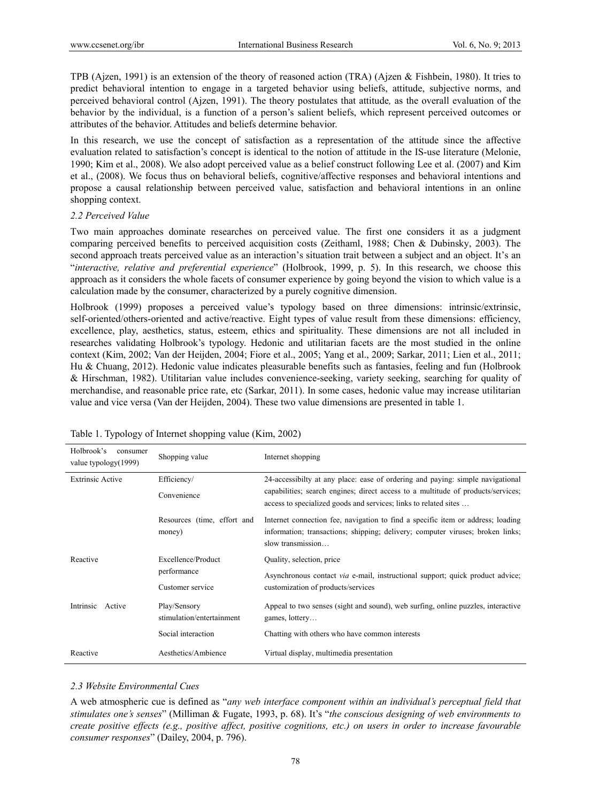TPB (Ajzen, 1991) is an extension of the theory of reasoned action (TRA) (Ajzen & Fishbein, 1980). It tries to predict behavioral intention to engage in a targeted behavior using beliefs, attitude, subjective norms, and perceived behavioral control (Ajzen, 1991). The theory postulates that attitude*,* as the overall evaluation of the behavior by the individual, is a function of a person's salient beliefs, which represent perceived outcomes or attributes of the behavior. Attitudes and beliefs determine behavior.

In this research, we use the concept of satisfaction as a representation of the attitude since the affective evaluation related to satisfaction's concept is identical to the notion of attitude in the IS-use literature (Melonie, 1990; Kim et al., 2008). We also adopt perceived value as a belief construct following Lee et al. (2007) and Kim et al., (2008). We focus thus on behavioral beliefs, cognitive/affective responses and behavioral intentions and propose a causal relationship between perceived value, satisfaction and behavioral intentions in an online shopping context.

## *2.2 Perceived Value*

Two main approaches dominate researches on perceived value. The first one considers it as a judgment comparing perceived benefits to perceived acquisition costs (Zeithaml, 1988; Chen & Dubinsky, 2003). The second approach treats perceived value as an interaction's situation trait between a subject and an object. It's an "*interactive, relative and preferential experience*" (Holbrook, 1999, p. 5). In this research, we choose this approach as it considers the whole facets of consumer experience by going beyond the vision to which value is a calculation made by the consumer, characterized by a purely cognitive dimension.

Holbrook (1999) proposes a perceived value's typology based on three dimensions: intrinsic/extrinsic, self-oriented/others-oriented and active/reactive. Eight types of value result from these dimensions: efficiency, excellence, play, aesthetics, status, esteem, ethics and spirituality. These dimensions are not all included in researches validating Holbrook's typology. Hedonic and utilitarian facets are the most studied in the online context (Kim, 2002; Van der Heijden, 2004; Fiore et al., 2005; Yang et al., 2009; Sarkar, 2011; Lien et al., 2011; Hu & Chuang, 2012). Hedonic value indicates pleasurable benefits such as fantasies, feeling and fun (Holbrook & Hirschman, 1982). Utilitarian value includes convenience-seeking, variety seeking, searching for quality of merchandise, and reasonable price rate, etc (Sarkar, 2011). In some cases, hedonic value may increase utilitarian value and vice versa (Van der Heijden, 2004). These two value dimensions are presented in table 1.

| Efficiency/<br>24-accessibilty at any place: ease of ordering and paying: simple navigational<br><b>Extrinsic Active</b><br>capabilities; search engines; direct access to a multitude of products/services;<br>Convenience<br>access to specialized goods and services; links to related sites<br>Resources (time, effort and<br>Internet connection fee, navigation to find a specific item or address; loading<br>information; transactions; shipping; delivery; computer viruses; broken links;<br>money) |  |
|---------------------------------------------------------------------------------------------------------------------------------------------------------------------------------------------------------------------------------------------------------------------------------------------------------------------------------------------------------------------------------------------------------------------------------------------------------------------------------------------------------------|--|
|                                                                                                                                                                                                                                                                                                                                                                                                                                                                                                               |  |
| slow transmission                                                                                                                                                                                                                                                                                                                                                                                                                                                                                             |  |
| Excellence/Product<br>Reactive<br>Quality, selection, price                                                                                                                                                                                                                                                                                                                                                                                                                                                   |  |
| performance<br>Asynchronous contact <i>via</i> e-mail, instructional support; quick product advice;<br>Customer service<br>customization of products/services                                                                                                                                                                                                                                                                                                                                                 |  |
| Intrinsic<br>Play/Sensory<br>Appeal to two senses (sight and sound), web surfing, online puzzles, interactive<br>Active<br>stimulation/entertainment<br>games, lottery                                                                                                                                                                                                                                                                                                                                        |  |
| Social interaction<br>Chatting with others who have common interests                                                                                                                                                                                                                                                                                                                                                                                                                                          |  |
| Aesthetics/Ambience<br>Virtual display, multimedia presentation<br>Reactive                                                                                                                                                                                                                                                                                                                                                                                                                                   |  |

|  | Table 1. Typology of Internet shopping value (Kim, 2002) |  |  |
|--|----------------------------------------------------------|--|--|
|  |                                                          |  |  |

# *2.3 Website Environmental Cues*

A web atmospheric cue is defined as "*any web interface component within an individual's perceptual field that stimulates one's senses*" (Milliman & Fugate, 1993, p. 68). It's "*the conscious designing of web environments to create positive effects (e.g., positive affect, positive cognitions, etc.) on users in order to increase favourable consumer responses*" (Dailey, 2004, p. 796).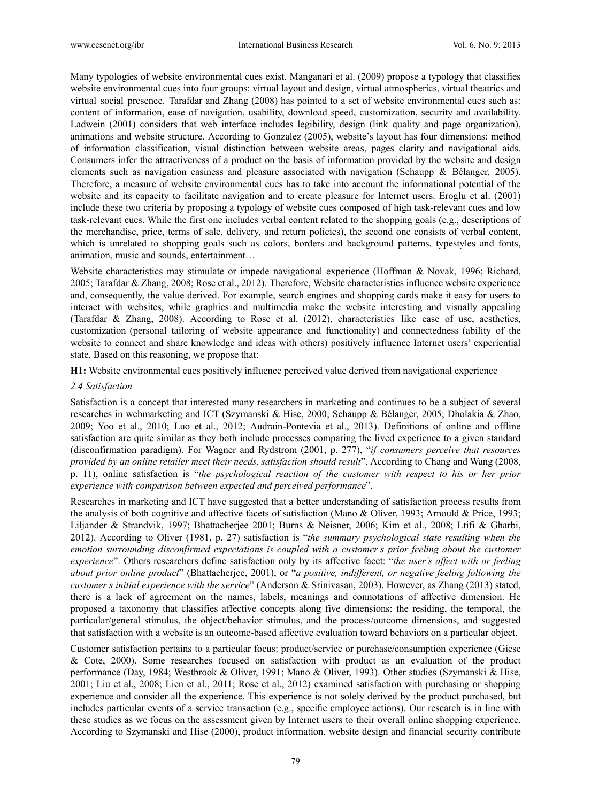Many typologies of website environmental cues exist. Manganari et al. (2009) propose a typology that classifies website environmental cues into four groups: virtual layout and design, virtual atmospherics, virtual theatrics and virtual social presence. Tarafdar and Zhang (2008) has pointed to a set of website environmental cues such as: content of information, ease of navigation, usability, download speed, customization, security and availability. Ladwein (2001) considers that web interface includes legibility, design (link quality and page organization), animations and website structure. According to Gonzalez (2005), website's layout has four dimensions: method of information classification, visual distinction between website areas, pages clarity and navigational aids. Consumers infer the attractiveness of a product on the basis of information provided by the website and design elements such as navigation easiness and pleasure associated with navigation (Schaupp & Bélanger, 2005). Therefore, a measure of website environmental cues has to take into account the informational potential of the website and its capacity to facilitate navigation and to create pleasure for Internet users. Eroglu et al. (2001) include these two criteria by proposing a typology of website cues composed of high task-relevant cues and low task-relevant cues. While the first one includes verbal content related to the shopping goals (e.g., descriptions of the merchandise, price, terms of sale, delivery, and return policies), the second one consists of verbal content, which is unrelated to shopping goals such as colors, borders and background patterns, typestyles and fonts, animation, music and sounds, entertainment…

Website characteristics may stimulate or impede navigational experience (Hoffman & Novak, 1996; Richard, 2005; Tarafdar & Zhang, 2008; Rose et al., 2012). Therefore, Website characteristics influence website experience and, consequently, the value derived. For example, search engines and shopping cards make it easy for users to interact with websites, while graphics and multimedia make the website interesting and visually appealing (Tarafdar & Zhang, 2008). According to Rose et al. (2012), characteristics like ease of use, aesthetics, customization (personal tailoring of website appearance and functionality) and connectedness (ability of the website to connect and share knowledge and ideas with others) positively influence Internet users' experiential state. Based on this reasoning, we propose that:

**H1:** Website environmental cues positively influence perceived value derived from navigational experience

## *2.4 Satisfaction*

Satisfaction is a concept that interested many researchers in marketing and continues to be a subject of several researches in webmarketing and ICT (Szymanski & Hise, 2000; Schaupp & Bélanger, 2005; Dholakia & Zhao, 2009; Yoo et al., 2010; Luo et al., 2012; Audrain-Pontevia et al., 2013). Definitions of online and offline satisfaction are quite similar as they both include processes comparing the lived experience to a given standard (disconfirmation paradigm). For Wagner and Rydstrom (2001, p. 277), "*if consumers perceive that resources provided by an online retailer meet their needs, satisfaction should result*". According to Chang and Wang (2008, p. 11), online satisfaction is "*the psychological reaction of the customer with respect to his or her prior experience with comparison between expected and perceived performance*".

Researches in marketing and ICT have suggested that a better understanding of satisfaction process results from the analysis of both cognitive and affective facets of satisfaction (Mano & Oliver, 1993; Arnould & Price, 1993; Liljander & Strandvik, 1997; Bhattacherjee 2001; Burns & Neisner, 2006; Kim et al., 2008; Ltifi & Gharbi, 2012). According to Oliver (1981, p. 27) satisfaction is "*the summary psychological state resulting when the emotion surrounding disconfirmed expectations is coupled with a customer's prior feeling about the customer experience*". Others researchers define satisfaction only by its affective facet: "*the user's affect with or feeling about prior online product*" (Bhattacherjee, 2001), or "*a positive, indifferent, or negative feeling following the customer's initial experience with the service*" (Anderson & Srinivasan, 2003). However, as Zhang (2013) stated, there is a lack of agreement on the names, labels, meanings and connotations of affective dimension. He proposed a taxonomy that classifies affective concepts along five dimensions: the residing, the temporal, the particular/general stimulus, the object/behavior stimulus, and the process/outcome dimensions, and suggested that satisfaction with a website is an outcome-based affective evaluation toward behaviors on a particular object.

Customer satisfaction pertains to a particular focus: product/service or purchase/consumption experience (Giese & Cote, 2000). Some researches focused on satisfaction with product as an evaluation of the product performance (Day, 1984; Westbrook & Oliver, 1991; Mano & Oliver, 1993). Other studies (Szymanski & Hise, 2001; Liu et al., 2008; Lien et al., 2011; Rose et al., 2012) examined satisfaction with purchasing or shopping experience and consider all the experience. This experience is not solely derived by the product purchased, but includes particular events of a service transaction (e.g., specific employee actions). Our research is in line with these studies as we focus on the assessment given by Internet users to their overall online shopping experience. According to Szymanski and Hise (2000), product information, website design and financial security contribute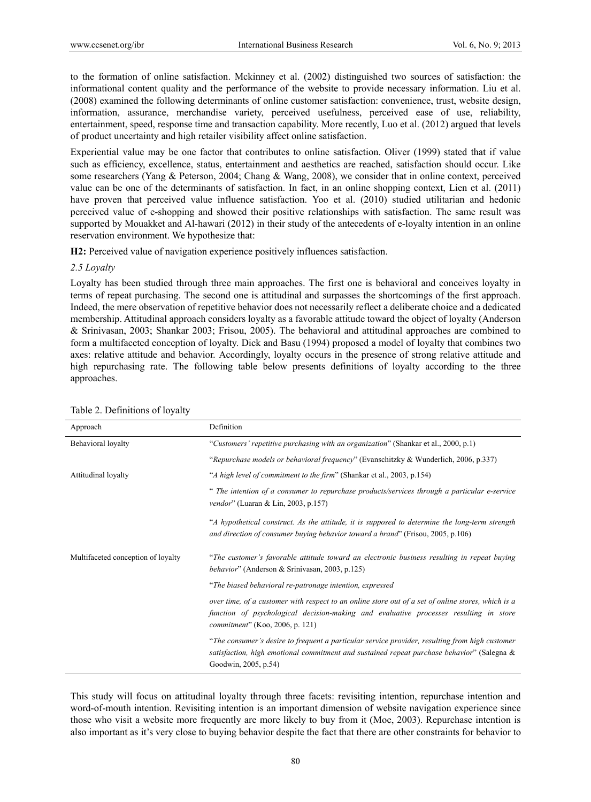to the formation of online satisfaction. Mckinney et al. (2002) distinguished two sources of satisfaction: the informational content quality and the performance of the website to provide necessary information. Liu et al. (2008) examined the following determinants of online customer satisfaction: convenience, trust, website design, information, assurance, merchandise variety, perceived usefulness, perceived ease of use, reliability, entertainment, speed, response time and transaction capability. More recently, Luo et al. (2012) argued that levels of product uncertainty and high retailer visibility affect online satisfaction.

Experiential value may be one factor that contributes to online satisfaction. Oliver (1999) stated that if value such as efficiency, excellence, status, entertainment and aesthetics are reached, satisfaction should occur. Like some researchers (Yang & Peterson, 2004; Chang & Wang, 2008), we consider that in online context, perceived value can be one of the determinants of satisfaction. In fact, in an online shopping context, Lien et al. (2011) have proven that perceived value influence satisfaction. Yoo et al. (2010) studied utilitarian and hedonic perceived value of e-shopping and showed their positive relationships with satisfaction. The same result was supported by Mouakket and Al-hawari (2012) in their study of the antecedents of e-loyalty intention in an online reservation environment. We hypothesize that:

**H2:** Perceived value of navigation experience positively influences satisfaction.

#### *2.5 Loyalty*

Loyalty has been studied through three main approaches. The first one is behavioral and conceives loyalty in terms of repeat purchasing. The second one is attitudinal and surpasses the shortcomings of the first approach. Indeed, the mere observation of repetitive behavior does not necessarily reflect a deliberate choice and a dedicated membership. Attitudinal approach considers loyalty as a favorable attitude toward the object of loyalty (Anderson & Srinivasan, 2003; Shankar 2003; Frisou, 2005). The behavioral and attitudinal approaches are combined to form a multifaceted conception of loyalty. Dick and Basu (1994) proposed a model of loyalty that combines two axes: relative attitude and behavior. Accordingly, loyalty occurs in the presence of strong relative attitude and high repurchasing rate. The following table below presents definitions of loyalty according to the three approaches.

| Approach                           | Definition                                                                                                                                                                                                                             |
|------------------------------------|----------------------------------------------------------------------------------------------------------------------------------------------------------------------------------------------------------------------------------------|
| Behavioral loyalty                 | "Customers' repetitive purchasing with an organization" (Shankar et al., 2000, p.1)                                                                                                                                                    |
|                                    | "Repurchase models or behavioral frequency" (Evanschitzky & Wunderlich, 2006, p.337)                                                                                                                                                   |
| Attitudinal loyalty                | "A high level of commitment to the firm" (Shankar et al., 2003, p.154)                                                                                                                                                                 |
|                                    | " The intention of a consumer to repurchase products/services through a particular e-service<br><i>vendor</i> " (Luaran & Lin, 2003, p.157)                                                                                            |
|                                    | "A hypothetical construct. As the attitude, it is supposed to determine the long-term strength<br>and direction of consumer buying behavior toward a brand" (Frisou, 2005, p.106)                                                      |
| Multifaceted conception of loyalty | "The customer's favorable attitude toward an electronic business resulting in repeat buying<br>behavior" (Anderson & Srinivasan, 2003, p.125)                                                                                          |
|                                    | "The biased behavioral re-patronage intention, expressed                                                                                                                                                                               |
|                                    | over time, of a customer with respect to an online store out of a set of online stores, which is a<br>function of psychological decision-making and evaluative processes resulting in store<br><i>commitment</i> " (Koo, 2006, p. 121) |
|                                    | "The consumer's desire to frequent a particular service provider, resulting from high customer<br>satisfaction, high emotional commitment and sustained repeat purchase behavior" (Salegna &<br>Goodwin, 2005, p.54)                   |

#### Table 2. Definitions of loyalty

This study will focus on attitudinal loyalty through three facets: revisiting intention, repurchase intention and word-of-mouth intention. Revisiting intention is an important dimension of website navigation experience since those who visit a website more frequently are more likely to buy from it (Moe, 2003). Repurchase intention is also important as it's very close to buying behavior despite the fact that there are other constraints for behavior to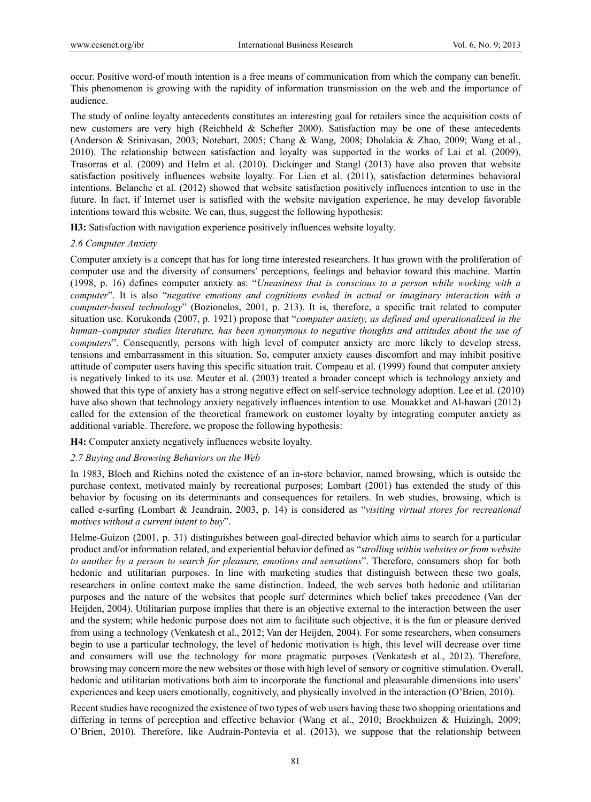occur. Positive word-of mouth intention is a free means of communication from which the company can benefit. This phenomenon is growing with the rapidity of information transmission on the web and the importance of audience.

The study of online loyalty antecedents constitutes an interesting goal for retailers since the acquisition costs of new customers are very high (Reichheld & Schefter 2000). Satisfaction may be one of these antecedents (Anderson & Srinivasan, 2003; Notebart, 2005; Chang & Wang, 2008; Dholakia & Zhao, 2009; Wang et al., 2010). The relationship between satisfaction and loyalty was supported in the works of Lai et al. (2009), Trasorras et al*.* (2009) and Helm et al. (2010). Dickinger and Stangl (2013) have also proven that website satisfaction positively influences website loyalty. For Lien et al. (2011), satisfaction determines behavioral intentions. Belanche et al. (2012) showed that website satisfaction positively influences intention to use in the future. In fact, if Internet user is satisfied with the website navigation experience, he may develop favorable intentions toward this website. We can, thus, suggest the following hypothesis:

**H3:** Satisfaction with navigation experience positively influences website loyalty.

## *2.6 Computer Anxiety*

Computer anxiety is a concept that has for long time interested researchers. It has grown with the proliferation of computer use and the diversity of consumers' perceptions, feelings and behavior toward this machine. Martin (1998, p. 16) defines computer anxiety as: "*Uneasiness that is conscious to a person while working with a computer*". It is also "*negative emotions and cognitions evoked in actual or imaginary interaction with a computer-based technology*" (Bozionelos, 2001, p. 213). It is, therefore, a specific trait related to computer situation use. Korukonda (2007, p. 1921) propose that "*computer anxiety, as defined and operationalized in the human–computer studies literature, has been synonymous to negative thoughts and attitudes about the use of computers*". Consequently, persons with high level of computer anxiety are more likely to develop stress, tensions and embarrassment in this situation. So, computer anxiety causes discomfort and may inhibit positive attitude of computer users having this specific situation trait. Compeau et al. (1999) found that computer anxiety is negatively linked to its use. Meuter et al. (2003) treated a broader concept which is technology anxiety and showed that this type of anxiety has a strong negative effect on self-service technology adoption. Lee et al. (2010) have also shown that technology anxiety negatively influences intention to use. Mouakket and Al-hawari (2012) called for the extension of the theoretical framework on customer loyalty by integrating computer anxiety as additional variable. Therefore, we propose the following hypothesis:

**H4:** Computer anxiety negatively influences website loyalty.

## *2.7 Buying and Browsing Behaviors on the Web*

In 1983, Bloch and Richins noted the existence of an in-store behavior, named browsing, which is outside the purchase context, motivated mainly by recreational purposes; Lombart (2001) has extended the study of this behavior by focusing on its determinants and consequences for retailers. In web studies, browsing, which is called e-surfing (Lombart & Jeandrain, 2003, p. 14) is considered as "*visiting virtual stores for recreational motives without a current intent to buy*".

Helme-Guizon (2001, p. 31) distinguishes between goal-directed behavior which aims to search for a particular product and/or information related, and experiential behavior defined as "*strolling within websites or from website to another by a person to search for pleasure, emotions and sensations*". Therefore, consumers shop for both hedonic and utilitarian purposes. In line with marketing studies that distinguish between these two goals, researchers in online context make the same distinction. Indeed, the web serves both hedonic and utilitarian purposes and the nature of the websites that people surf determines which belief takes precedence (Van der Heijden, 2004). Utilitarian purpose implies that there is an objective external to the interaction between the user and the system; while hedonic purpose does not aim to facilitate such objective, it is the fun or pleasure derived from using a technology (Venkatesh et al., 2012; Van der Heijden, 2004). For some researchers, when consumers begin to use a particular technology, the level of hedonic motivation is high, this level will decrease over time and consumers will use the technology for more pragmatic purposes (Venkatesh et al., 2012). Therefore, browsing may concern more the new websites or those with high level of sensory or cognitive stimulation. Overall, hedonic and utilitarian motivations both aim to incorporate the functional and pleasurable dimensions into users' experiences and keep users emotionally, cognitively, and physically involved in the interaction (O'Brien, 2010).

Recent studies have recognized the existence of two types of web users having these two shopping orientations and differing in terms of perception and effective behavior (Wang et al., 2010; Broekhuizen & Huizingh, 2009; O'Brien, 2010). Therefore, like Audrain-Pontevia et al. (2013), we suppose that the relationship between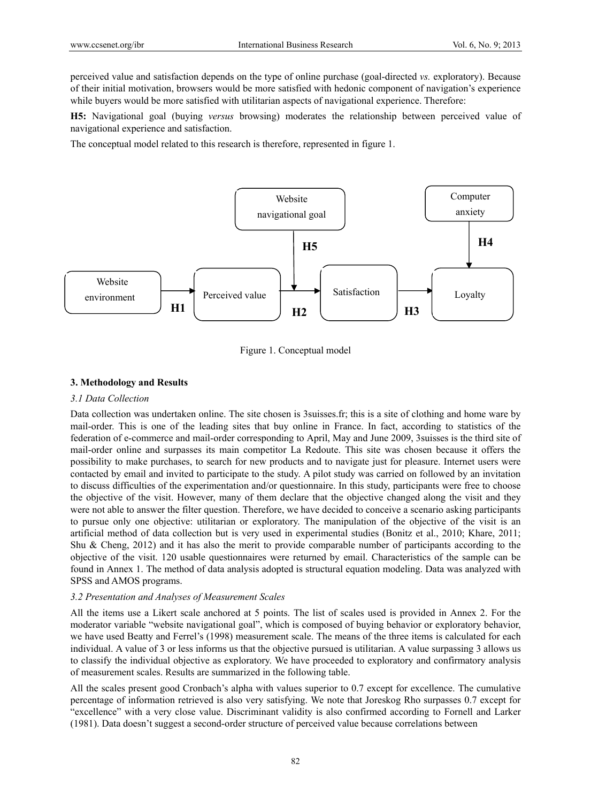perceived value and satisfaction depends on the type of online purchase (goal-directed *vs.* exploratory). Because of their initial motivation, browsers would be more satisfied with hedonic component of navigation's experience while buyers would be more satisfied with utilitarian aspects of navigational experience. Therefore:

**H5:** Navigational goal (buying *versus* browsing) moderates the relationship between perceived value of navigational experience and satisfaction.

The conceptual model related to this research is therefore, represented in figure 1.



Figure 1. Conceptual model

## **3. Methodology and Results**

#### *3.1 Data Collection*

Data collection was undertaken online. The site chosen is 3suisses.fr; this is a site of clothing and home ware by mail-order. This is one of the leading sites that buy online in France. In fact, according to statistics of the federation of e-commerce and mail-order corresponding to April, May and June 2009, 3suisses is the third site of mail-order online and surpasses its main competitor La Redoute. This site was chosen because it offers the possibility to make purchases, to search for new products and to navigate just for pleasure. Internet users were contacted by email and invited to participate to the study. A pilot study was carried on followed by an invitation to discuss difficulties of the experimentation and/or questionnaire. In this study, participants were free to choose the objective of the visit. However, many of them declare that the objective changed along the visit and they were not able to answer the filter question. Therefore, we have decided to conceive a scenario asking participants to pursue only one objective: utilitarian or exploratory. The manipulation of the objective of the visit is an artificial method of data collection but is very used in experimental studies (Bonitz et al., 2010; Khare, 2011; Shu & Cheng, 2012) and it has also the merit to provide comparable number of participants according to the objective of the visit. 120 usable questionnaires were returned by email. Characteristics of the sample can be found in Annex 1. The method of data analysis adopted is structural equation modeling. Data was analyzed with SPSS and AMOS programs.

## *3.2 Presentation and Analyses of Measurement Scales*

All the items use a Likert scale anchored at 5 points. The list of scales used is provided in Annex 2. For the moderator variable "website navigational goal", which is composed of buying behavior or exploratory behavior, we have used Beatty and Ferrel's (1998) measurement scale. The means of the three items is calculated for each individual. A value of 3 or less informs us that the objective pursued is utilitarian. A value surpassing 3 allows us to classify the individual objective as exploratory. We have proceeded to exploratory and confirmatory analysis of measurement scales. Results are summarized in the following table.

All the scales present good Cronbach's alpha with values superior to 0.7 except for excellence. The cumulative percentage of information retrieved is also very satisfying. We note that Joreskog Rho surpasses 0.7 except for "excellence" with a very close value. Discriminant validity is also confirmed according to Fornell and Larker (1981). Data doesn't suggest a second-order structure of perceived value because correlations between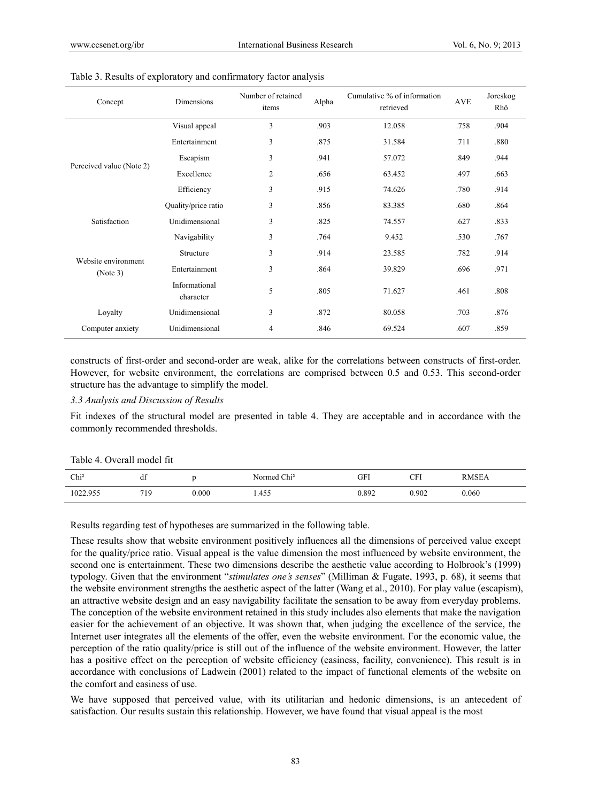| Concept                         | Dimensions                 | Number of retained<br>items | Alpha | Cumulative % of information<br>retrieved | <b>AVE</b> | Joreskog<br>Rhô |
|---------------------------------|----------------------------|-----------------------------|-------|------------------------------------------|------------|-----------------|
|                                 | Visual appeal              | 3                           | .903  | 12.058                                   | .758       | .904            |
|                                 | Entertainment              | 3                           | .875  | 31.584                                   | .711       | .880            |
|                                 | Escapism                   | 3                           | .941  | 57.072                                   | .849       | .944            |
| Perceived value (Note 2)        | Excellence                 | $\overline{2}$              | .656  | 63.452                                   | .497       | .663            |
|                                 | Efficiency                 | 3                           | .915  | 74.626                                   | .780       | .914            |
|                                 | Quality/price ratio        | 3                           | .856  | 83.385                                   | .680       | .864            |
| Satisfaction                    | Unidimensional             | 3                           | .825  | 74.557                                   | .627       | .833            |
| Website environment<br>(Note 3) | Navigability               | 3                           | .764  | 9.452                                    | .530       | .767            |
|                                 | Structure                  | 3                           | .914  | 23.585                                   | .782       | .914            |
|                                 | Entertainment              | 3                           | .864  | 39.829                                   | .696       | .971            |
|                                 | Informational<br>character | 5                           | .805  | 71.627                                   | .461       | .808            |
| Loyalty                         | Unidimensional             | 3                           | .872  | 80.058                                   | .703       | .876            |
| Computer anxiety                | Unidimensional             | $\overline{4}$              | .846  | 69.524                                   | .607       | .859            |

#### Table 3. Results of exploratory and confirmatory factor analysis

constructs of first-order and second-order are weak, alike for the correlations between constructs of first-order. However, for website environment, the correlations are comprised between 0.5 and 0.53. This second-order structure has the advantage to simplify the model.

## *3.3 Analysis and Discussion of Results*

Fit indexes of the structural model are presented in table 4. They are acceptable and in accordance with the commonly recommended thresholds.

| Table 4. Overall model fit |  |
|----------------------------|--|
|                            |  |

| Chi <sup>2</sup> | df         |       | Normed Chi <sup>2</sup> | GFI   | $\cap$ Fi | <b>RMSEA</b> |
|------------------|------------|-------|-------------------------|-------|-----------|--------------|
| 1022.955         | 710<br>. . | 0.000 | 1.455                   | 0.892 | 0.902     | 0.060        |

Results regarding test of hypotheses are summarized in the following table.

These results show that website environment positively influences all the dimensions of perceived value except for the quality/price ratio. Visual appeal is the value dimension the most influenced by website environment, the second one is entertainment. These two dimensions describe the aesthetic value according to Holbrook's (1999) typology. Given that the environment "*stimulates one's senses*" (Milliman & Fugate, 1993, p. 68), it seems that the website environment strengths the aesthetic aspect of the latter (Wang et al., 2010). For play value (escapism), an attractive website design and an easy navigability facilitate the sensation to be away from everyday problems. The conception of the website environment retained in this study includes also elements that make the navigation easier for the achievement of an objective. It was shown that, when judging the excellence of the service, the Internet user integrates all the elements of the offer, even the website environment. For the economic value, the perception of the ratio quality/price is still out of the influence of the website environment. However, the latter has a positive effect on the perception of website efficiency (easiness, facility, convenience). This result is in accordance with conclusions of Ladwein (2001) related to the impact of functional elements of the website on the comfort and easiness of use.

We have supposed that perceived value, with its utilitarian and hedonic dimensions, is an antecedent of satisfaction. Our results sustain this relationship. However, we have found that visual appeal is the most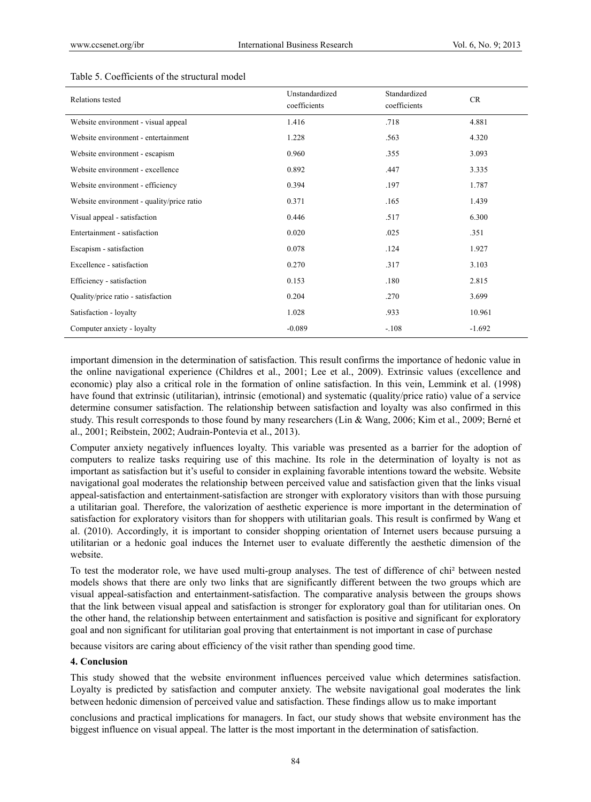| Relations tested                          | Unstandardized<br>coefficients | Standardized<br>coefficients | CR       |
|-------------------------------------------|--------------------------------|------------------------------|----------|
| Website environment - visual appeal       | 1.416                          | .718                         | 4.881    |
| Website environment - entertainment       | 1.228                          | .563                         | 4.320    |
| Website environment - escapism            | 0.960                          | .355                         | 3.093    |
| Website environment - excellence          | 0.892                          | .447                         | 3.335    |
| Website environment - efficiency          | 0.394                          | .197                         | 1.787    |
| Website environment - quality/price ratio | 0.371                          | .165                         | 1.439    |
| Visual appeal - satisfaction              | 0.446                          | .517                         | 6.300    |
| Entertainment - satisfaction              | 0.020                          | .025                         | .351     |
| Escapism - satisfaction                   | 0.078                          | .124                         | 1.927    |
| Excellence - satisfaction                 | 0.270                          | .317                         | 3.103    |
| Efficiency - satisfaction                 | 0.153                          | .180                         | 2.815    |
| Quality/price ratio - satisfaction        | 0.204                          | .270                         | 3.699    |
| Satisfaction - loyalty                    | 1.028                          | .933                         | 10.961   |
| Computer anxiety - loyalty                | $-0.089$                       | $-.108$                      | $-1.692$ |

#### Table 5. Coefficients of the structural model

important dimension in the determination of satisfaction. This result confirms the importance of hedonic value in the online navigational experience (Childres et al., 2001; Lee et al., 2009). Extrinsic values (excellence and economic) play also a critical role in the formation of online satisfaction. In this vein, Lemmink et al. (1998) have found that extrinsic (utilitarian), intrinsic (emotional) and systematic (quality/price ratio) value of a service determine consumer satisfaction. The relationship between satisfaction and loyalty was also confirmed in this study. This result corresponds to those found by many researchers (Lin & Wang, 2006; Kim et al., 2009; Berné et al., 2001; Reibstein, 2002; Audrain-Pontevia et al., 2013).

Computer anxiety negatively influences loyalty. This variable was presented as a barrier for the adoption of computers to realize tasks requiring use of this machine. Its role in the determination of loyalty is not as important as satisfaction but it's useful to consider in explaining favorable intentions toward the website. Website navigational goal moderates the relationship between perceived value and satisfaction given that the links visual appeal-satisfaction and entertainment-satisfaction are stronger with exploratory visitors than with those pursuing a utilitarian goal. Therefore, the valorization of aesthetic experience is more important in the determination of satisfaction for exploratory visitors than for shoppers with utilitarian goals. This result is confirmed by Wang et al. (2010). Accordingly, it is important to consider shopping orientation of Internet users because pursuing a utilitarian or a hedonic goal induces the Internet user to evaluate differently the aesthetic dimension of the website.

To test the moderator role, we have used multi-group analyses. The test of difference of chi² between nested models shows that there are only two links that are significantly different between the two groups which are visual appeal-satisfaction and entertainment-satisfaction. The comparative analysis between the groups shows that the link between visual appeal and satisfaction is stronger for exploratory goal than for utilitarian ones. On the other hand, the relationship between entertainment and satisfaction is positive and significant for exploratory goal and non significant for utilitarian goal proving that entertainment is not important in case of purchase

because visitors are caring about efficiency of the visit rather than spending good time.

#### **4. Conclusion**

This study showed that the website environment influences perceived value which determines satisfaction. Loyalty is predicted by satisfaction and computer anxiety. The website navigational goal moderates the link between hedonic dimension of perceived value and satisfaction. These findings allow us to make important

conclusions and practical implications for managers. In fact, our study shows that website environment has the biggest influence on visual appeal. The latter is the most important in the determination of satisfaction.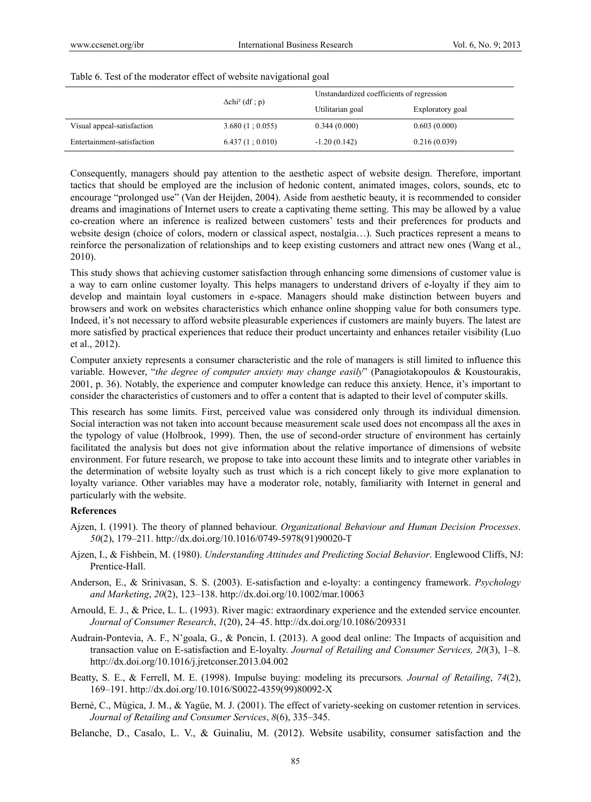|                            |                                   | Unstandardized coefficients of regression |                  |  |
|----------------------------|-----------------------------------|-------------------------------------------|------------------|--|
|                            | $\Delta$ chi <sup>2</sup> (df; p) | Utilitarian goal                          | Exploratory goal |  |
| Visual appeal-satisfaction | 3.680(1; 0.055)                   | 0.344(0.000)                              | 0.603(0.000)     |  |
| Entertainment-satisfaction | 6.437(1;0.010)                    | $-1.20(0.142)$                            | 0.216(0.039)     |  |

#### Table 6. Test of the moderator effect of website navigational goal

Consequently, managers should pay attention to the aesthetic aspect of website design. Therefore, important tactics that should be employed are the inclusion of hedonic content, animated images, colors, sounds, etc to encourage "prolonged use" (Van der Heijden, 2004). Aside from aesthetic beauty, it is recommended to consider dreams and imaginations of Internet users to create a captivating theme setting. This may be allowed by a value co-creation where an inference is realized between customers' tests and their preferences for products and website design (choice of colors, modern or classical aspect, nostalgia…). Such practices represent a means to reinforce the personalization of relationships and to keep existing customers and attract new ones (Wang et al., 2010).

This study shows that achieving customer satisfaction through enhancing some dimensions of customer value is a way to earn online customer loyalty. This helps managers to understand drivers of e-loyalty if they aim to develop and maintain loyal customers in e-space. Managers should make distinction between buyers and browsers and work on websites characteristics which enhance online shopping value for both consumers type. Indeed, it's not necessary to afford website pleasurable experiences if customers are mainly buyers. The latest are more satisfied by practical experiences that reduce their product uncertainty and enhances retailer visibility (Luo et al., 2012).

Computer anxiety represents a consumer characteristic and the role of managers is still limited to influence this variable. However, "*the degree of computer anxiety may change easily*" (Panagiotakopoulos & Koustourakis, 2001, p. 36). Notably, the experience and computer knowledge can reduce this anxiety. Hence, it's important to consider the characteristics of customers and to offer a content that is adapted to their level of computer skills.

This research has some limits. First, perceived value was considered only through its individual dimension. Social interaction was not taken into account because measurement scale used does not encompass all the axes in the typology of value (Holbrook, 1999). Then, the use of second-order structure of environment has certainly facilitated the analysis but does not give information about the relative importance of dimensions of website environment. For future research, we propose to take into account these limits and to integrate other variables in the determination of website loyalty such as trust which is a rich concept likely to give more explanation to loyalty variance. Other variables may have a moderator role, notably, familiarity with Internet in general and particularly with the website.

#### **References**

- Ajzen, I. (1991). The theory of planned behaviour. *Organizational Behaviour and Human Decision Processes*. *50*(2), 179–211. http://dx.doi.org/10.1016/0749-5978(91)90020-T
- Ajzen, I., & Fishbein, M. (1980). *Understanding Attitudes and Predicting Social Behavior*. Englewood Cliffs, NJ: Prentice-Hall.
- Anderson, E., & Srinivasan, S. S. (2003). E-satisfaction and e-loyalty: a contingency framework. *Psychology and Marketing*, *20*(2), 123–138. http://dx.doi.org/10.1002/mar.10063
- Arnould, E. J., & Price, L. L. (1993). River magic: extraordinary experience and the extended service encounter. *Journal of Consumer Research*, *1*(20), 24–45. http://dx.doi.org/10.1086/209331
- Audrain-Pontevia, A. F., N'goala, G., & Poncin, I. (2013). A good deal online: The Impacts of acquisition and transaction value on E-satisfaction and E-loyalty. *Journal of Retailing and Consumer Services, 20*(3), 1–8*.* http://dx.doi.org/10.1016/j.jretconser.2013.04.002
- Beatty, S. E., & Ferrell, M. E. (1998). Impulse buying: modeling its precursors*. Journal of Retailing*, *74*(2), 169–191. http://dx.doi.org/10.1016/S0022-4359(99)80092-X
- Berné, C., Mùgica, J. M., & Yagüe, M. J. (2001). The effect of variety-seeking on customer retention in services. *Journal of Retailing and Consumer Services*, *8*(6), 335–345.
- Belanche, D., Casalo, L. V., & Guinaliu, M. (2012). Website usability, consumer satisfaction and the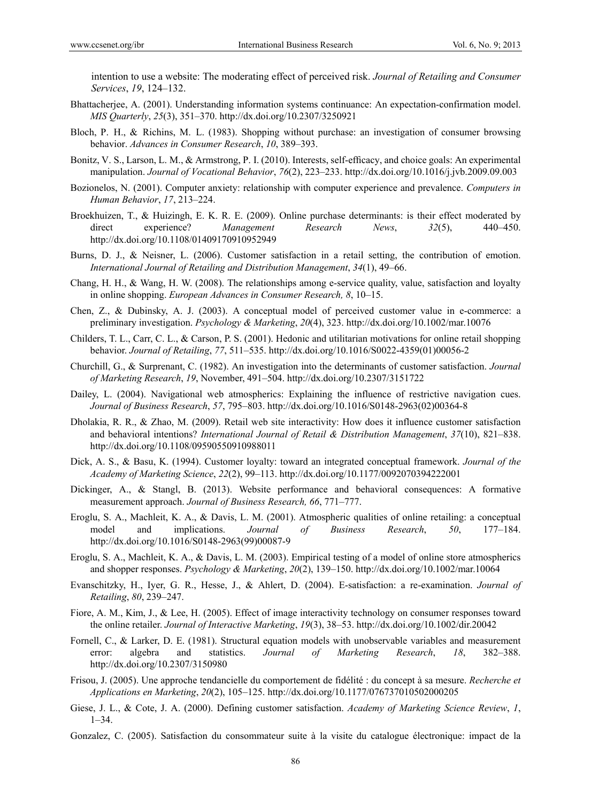intention to use a website: The moderating effect of perceived risk. *Journal of Retailing and Consumer Services*, *19*, 124–132.

- Bhattacherjee, A. (2001). Understanding information systems continuance: An expectation-confirmation model. *MIS Quarterly*, *25*(3), 351–370. http://dx.doi.org/10.2307/3250921
- Bloch, P. H., & Richins, M. L. (1983). Shopping without purchase: an investigation of consumer browsing behavior. *Advances in Consumer Research*, *10*, 389–393.
- Bonitz, V. S., Larson, L. M., & Armstrong, P. I. (2010). Interests, self-efficacy, and choice goals: An experimental manipulation. *Journal of Vocational Behavior*, *76*(2), 223–233. http://dx.doi.org/10.1016/j.jvb.2009.09.003
- Bozionelos, N. (2001). Computer anxiety: relationship with computer experience and prevalence. *Computers in Human Behavior*, *17*, 213–224.
- Broekhuizen, T., & Huizingh, E. K. R. E. (2009). Online purchase determinants: is their effect moderated by direct experience? *Management Research News*, *32*(5), 440–450. http://dx.doi.org/10.1108/01409170910952949
- Burns, D. J., & Neisner, L. (2006). Customer satisfaction in a retail setting, the contribution of emotion. *International Journal of Retailing and Distribution Management*, *34*(1), 49–66.
- Chang, H. H., & Wang, H. W. (2008). The relationships among e-service quality, value, satisfaction and loyalty in online shopping. *European Advances in Consumer Research, 8*, 10–15.
- Chen, Z., & Dubinsky, A. J. (2003). A conceptual model of perceived customer value in e-commerce: a preliminary investigation. *Psychology & Marketing*, *20*(4), 323. http://dx.doi.org/10.1002/mar.10076
- Childers, T. L., Carr, C. L., & Carson, P. S. (2001). Hedonic and utilitarian motivations for online retail shopping behavior. *Journal of Retailing*, *77*, 511–535. http://dx.doi.org/10.1016/S0022-4359(01)00056-2
- Churchill, G., & Surprenant, C. (1982). An investigation into the determinants of customer satisfaction. *Journal of Marketing Research*, *19*, November, 491–504. http://dx.doi.org/10.2307/3151722
- Dailey, L. (2004). Navigational web atmospherics: Explaining the influence of restrictive navigation cues. *Journal of Business Research*, *57*, 795–803. http://dx.doi.org/10.1016/S0148-2963(02)00364-8
- Dholakia, R. R., & Zhao, M. (2009). Retail web site interactivity: How does it influence customer satisfaction and behavioral intentions? *International Journal of Retail & Distribution Management*, *37*(10), 821–838. http://dx.doi.org/10.1108/09590550910988011
- Dick, A. S., & Basu, K. (1994). Customer loyalty: toward an integrated conceptual framework. *Journal of the Academy of Marketing Science*, *22*(2), 99–113. http://dx.doi.org/10.1177/0092070394222001
- Dickinger, A., & Stangl, B. (2013). Website performance and behavioral consequences: A formative measurement approach. *Journal of Business Research, 66*, 771–777.
- Eroglu, S. A., Machleit, K. A., & Davis, L. M. (2001). Atmospheric qualities of online retailing: a conceptual model and implications. *Journal of Business Research*, *50*, 177–184. http://dx.doi.org/10.1016/S0148-2963(99)00087-9
- Eroglu, S. A., Machleit, K. A., & Davis, L. M. (2003). Empirical testing of a model of online store atmospherics and shopper responses. *Psychology & Marketing*, *20*(2), 139–150. http://dx.doi.org/10.1002/mar.10064
- Evanschitzky, H., Iyer, G. R., Hesse, J., & Ahlert, D. (2004). E-satisfaction: a re-examination. *Journal of Retailing*, *80*, 239–247.
- Fiore, A. M., Kim, J., & Lee, H. (2005). Effect of image interactivity technology on consumer responses toward the online retailer. *Journal of Interactive Marketing*, *19*(3), 38–53. http://dx.doi.org/10.1002/dir.20042
- Fornell, C., & Larker, D. E. (1981). Structural equation models with unobservable variables and measurement error: algebra and statistics. *Journal of Marketing Research*, *18*, 382–388. http://dx.doi.org/10.2307/3150980
- Frisou, J. (2005). Une approche tendancielle du comportement de fidélité : du concept à sa mesure. *Recherche et Applications en Marketing*, *20*(2), 105–125. http://dx.doi.org/10.1177/076737010502000205
- Giese, J. L., & Cote, J. A. (2000). Defining customer satisfaction. *Academy of Marketing Science Review*, *1*,  $1 - 34$
- Gonzalez, C. (2005). Satisfaction du consommateur suite à la visite du catalogue électronique: impact de la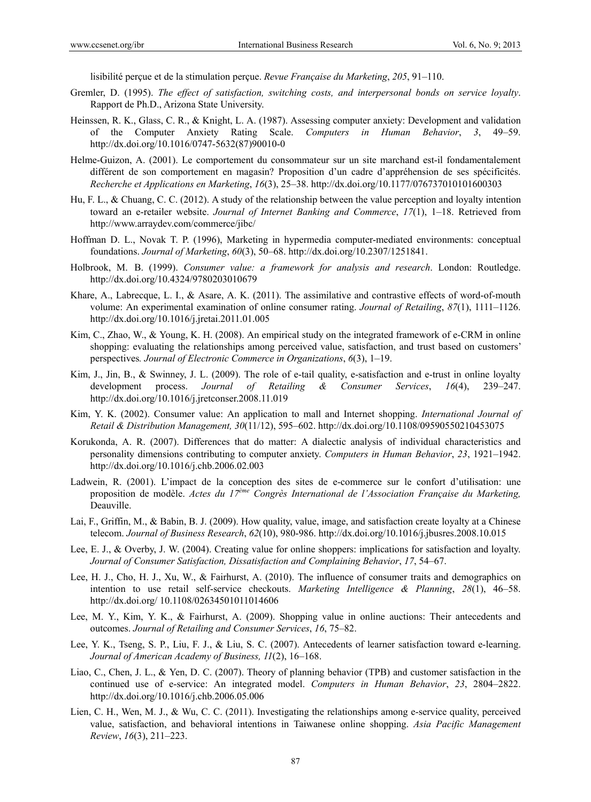lisibilité perçue et de la stimulation perçue. *Revue Française du Marketing*, *205*, 91–110.

- Gremler, D. (1995). *The effect of satisfaction, switching costs, and interpersonal bonds on service loyalty*. Rapport de Ph.D., Arizona State University.
- Heinssen, R. K., Glass, C. R., & Knight, L. A. (1987). Assessing computer anxiety: Development and validation of the Computer Anxiety Rating Scale. *Computers in Human Behavior*, *3*, 49–59. http://dx.doi.org/10.1016/0747-5632(87)90010-0
- Helme-Guizon, A. (2001). Le comportement du consommateur sur un site marchand est-il fondamentalement différent de son comportement en magasin? Proposition d'un cadre d'appréhension de ses spécificités. *Recherche et Applications en Marketing*, *16*(3), 25–38. http://dx.doi.org/10.1177/076737010101600303
- Hu, F. L., & Chuang, C. C. (2012). A study of the relationship between the value perception and loyalty intention toward an e-retailer website. *Journal of Internet Banking and Commerce*, *17*(1), 1–18. Retrieved from http://www.arraydev.com/commerce/jibc/
- Hoffman D. L., Novak T. P. (1996), Marketing in hypermedia computer-mediated environments: conceptual foundations. *Journal of Marketing*, *60*(3), 50–68. http://dx.doi.org/10.2307/1251841.
- Holbrook, M. B. (1999). *Consumer value: a framework for analysis and research*. London: Routledge. http://dx.doi.org/10.4324/9780203010679
- Khare, A., Labrecque, L. I., & Asare, A. K. (2011). The assimilative and contrastive effects of word-of-mouth volume: An experimental examination of online consumer rating. *Journal of Retailing*, *87*(1), 1111–1126. http://dx.doi.org/10.1016/j.jretai.2011.01.005
- Kim, C., Zhao, W., & Young, K. H. (2008). An empirical study on the integrated framework of e-CRM in online shopping: evaluating the relationships among perceived value, satisfaction, and trust based on customers' perspectives*. Journal of Electronic Commerce in Organizations*, *6*(3), 1–19.
- Kim, J., Jin, B., & Swinney, J. L. (2009). The role of e-tail quality, e-satisfaction and e-trust in online loyalty development process. *Journal of Retailing & Consumer Services*, *16*(4), 239–247. http://dx.doi.org/10.1016/j.jretconser.2008.11.019
- Kim, Y. K. (2002). Consumer value: An application to mall and Internet shopping. *International Journal of Retail & Distribution Management, 30*(11/12), 595–602. http://dx.doi.org/10.1108/09590550210453075
- Korukonda, A. R. (2007). Differences that do matter: A dialectic analysis of individual characteristics and personality dimensions contributing to computer anxiety. *Computers in Human Behavior*, *23*, 1921–1942. http://dx.doi.org/10.1016/j.chb.2006.02.003
- Ladwein, R. (2001). L'impact de la conception des sites de e-commerce sur le confort d'utilisation: une proposition de modèle. *Actes du 17ème Congrès International de l'Association Française du Marketing,*  Deauville.
- Lai, F., Griffin, M., & Babin, B. J. (2009). How quality, value, image, and satisfaction create loyalty at a Chinese telecom. *Journal of Business Research*, *62*(10), 980-986. http://dx.doi.org/10.1016/j.jbusres.2008.10.015
- Lee, E. J., & Overby, J. W. (2004). Creating value for online shoppers: implications for satisfaction and loyalty. *Journal of Consumer Satisfaction, Dissatisfaction and Complaining Behavior*, *17*, 54–67.
- Lee, H. J., Cho, H. J., Xu, W., & Fairhurst, A. (2010). The influence of consumer traits and demographics on intention to use retail self-service checkouts. *Marketing Intelligence & Planning*, *28*(1), 46–58. http://dx.doi.org/ 10.1108/02634501011014606
- Lee, M. Y., Kim, Y. K., & Fairhurst, A. (2009). Shopping value in online auctions: Their antecedents and outcomes. *Journal of Retailing and Consumer Services*, *16*, 75–82.
- Lee, Y. K., Tseng, S. P., Liu, F. J., & Liu, S. C. (2007). Antecedents of learner satisfaction toward e-learning. *Journal of American Academy of Business, 11*(2), 16–168.
- Liao, C., Chen, J. L., & Yen, D. C. (2007). Theory of planning behavior (TPB) and customer satisfaction in the continued use of e-service: An integrated model. *Computers in Human Behavior*, *23*, 2804–2822. http://dx.doi.org/10.1016/j.chb.2006.05.006
- Lien, C. H., Wen, M. J., & Wu, C. C. (2011). Investigating the relationships among e-service quality, perceived value, satisfaction, and behavioral intentions in Taiwanese online shopping. *Asia Pacific Management Review*, *16*(3), 211–223.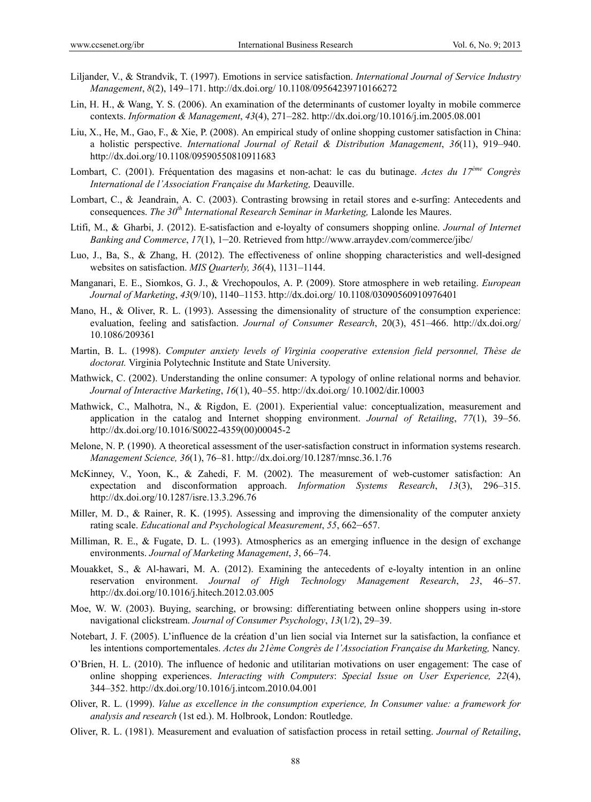- Liljander, V., & Strandvik, T. (1997). Emotions in service satisfaction. *International Journal of Service Industry Management*, *8*(2), 149–171. http://dx.doi.org/ 10.1108/09564239710166272
- Lin, H. H., & Wang, Y. S. (2006). An examination of the determinants of customer loyalty in mobile commerce contexts. *Information & Management*, *43*(4), 271–282. http://dx.doi.org/10.1016/j.im.2005.08.001
- Liu, X., He, M., Gao, F., & Xie, P. (2008). An empirical study of online shopping customer satisfaction in China: a holistic perspective. *International Journal of Retail & Distribution Management*, *36*(11), 919–940. http://dx.doi.org/10.1108/09590550810911683
- Lombart, C. (2001). Fréquentation des magasins et non-achat: le cas du butinage. *Actes du 17ème Congrès International de l'Association Française du Marketing,* Deauville.
- Lombart, C., & Jeandrain, A. C. (2003). Contrasting browsing in retail stores and e-surfing: Antecedents and consequences. *The 30th International Research Seminar in Marketing,* Lalonde les Maures.
- Ltifi, M., & Gharbi, J. (2012). E-satisfaction and e-loyalty of consumers shopping online. *Journal of Internet Banking and Commerce*, *17*(1), 1–20. Retrieved from http://www.arraydev.com/commerce/jibc/
- Luo, J., Ba, S., & Zhang, H. (2012). The effectiveness of online shopping characteristics and well-designed websites on satisfaction. *MIS Quarterly, 36*(4), 1131–1144.
- Manganari, E. E., Siomkos, G. J., & Vrechopoulos, A. P. (2009). Store atmosphere in web retailing. *European Journal of Marketing*, *43*(9/10), 1140–1153. http://dx.doi.org/ 10.1108/03090560910976401
- Mano, H., & Oliver, R. L. (1993). Assessing the dimensionality of structure of the consumption experience: evaluation, feeling and satisfaction. *Journal of Consumer Research*, 20(3), 451–466. http://dx.doi.org/ 10.1086/209361
- Martin, B. L. (1998). *Computer anxiety levels of Virginia cooperative extension field personnel, Thèse de doctorat.* Virginia Polytechnic Institute and State University.
- Mathwick, C. (2002). Understanding the online consumer: A typology of online relational norms and behavior. *Journal of Interactive Marketing*, *16*(1), 40–55. http://dx.doi.org/ 10.1002/dir.10003
- Mathwick, C., Malhotra, N., & Rigdon, E. (2001). Experiential value: conceptualization, measurement and application in the catalog and Internet shopping environment. *Journal of Retailing*, *77*(1), 39–56. http://dx.doi.org/10.1016/S0022-4359(00)00045-2
- Melone, N. P. (1990). A theoretical assessment of the user-satisfaction construct in information systems research. *Management Science, 36*(1), 76–81. http://dx.doi.org/10.1287/mnsc.36.1.76
- McKinney, V., Yoon, K., & Zahedi, F. M. (2002). The measurement of web-customer satisfaction: An expectation and disconformation approach. *Information Systems Research*, *13*(3), 296–315. http://dx.doi.org/10.1287/isre.13.3.296.76
- Miller, M. D., & Rainer, R. K. (1995). Assessing and improving the dimensionality of the computer anxiety rating scale. *Educational and Psychological Measurement*, *55*, 662–657.
- Milliman, R. E., & Fugate, D. L. (1993). Atmospherics as an emerging influence in the design of exchange environments. *Journal of Marketing Management*, *3*, 66–74.
- Mouakket, S., & Al-hawari, M. A. (2012). Examining the antecedents of e-loyalty intention in an online reservation environment. *Journal of High Technology Management Research*, *23*, 46–57. http://dx.doi.org/10.1016/j.hitech.2012.03.005
- Moe, W. W. (2003). Buying, searching, or browsing: differentiating between online shoppers using in-store navigational clickstream. *Journal of Consumer Psychology*, *13*(1/2), 29–39.
- Notebart, J. F. (2005). L'influence de la création d'un lien social via Internet sur la satisfaction, la confiance et les intentions comportementales. *Actes du 21ème Congrès de l'Association Française du Marketing*, Nancy.
- O'Brien, H. L. (2010). The influence of hedonic and utilitarian motivations on user engagement: The case of online shopping experiences. *Interacting with Computers*: *Special Issue on User Experience, 22*(4), 344–352. http://dx.doi.org/10.1016/j.intcom.2010.04.001
- Oliver, R. L. (1999). *Value as excellence in the consumption experience, In Consumer value: a framework for analysis and research* (1st ed.). M. Holbrook, London: Routledge.
- Oliver, R. L. (1981). Measurement and evaluation of satisfaction process in retail setting. *Journal of Retailing*,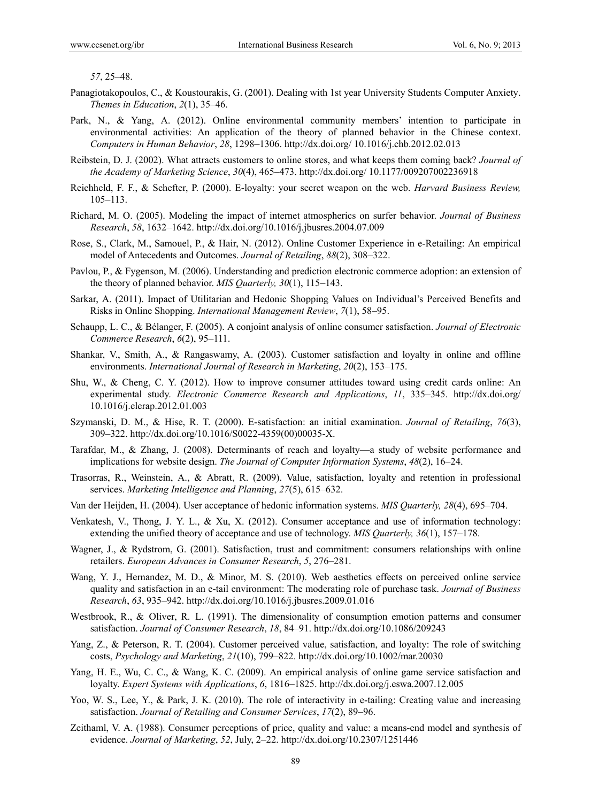*57*, 25–48.

- Panagiotakopoulos, C., & Koustourakis, G. (2001). Dealing with 1st year University Students Computer Anxiety. *Themes in Education*, *2*(1), 35–46.
- Park, N., & Yang, A. (2012). Online environmental community members' intention to participate in environmental activities: An application of the theory of planned behavior in the Chinese context. *Computers in Human Behavior*, *28*, 1298–1306. http://dx.doi.org/ 10.1016/j.chb.2012.02.013
- Reibstein, D. J. (2002). What attracts customers to online stores, and what keeps them coming back? *Journal of the Academy of Marketing Science*, *30*(4), 465–473. http://dx.doi.org/ 10.1177/009207002236918
- Reichheld, F. F., & Schefter, P. (2000). E-loyalty: your secret weapon on the web. *Harvard Business Review,*  105–113.
- Richard, M. O. (2005). Modeling the impact of internet atmospherics on surfer behavior. *Journal of Business Research*, *58*, 1632–1642. http://dx.doi.org/10.1016/j.jbusres.2004.07.009
- Rose, S., Clark, M., Samouel, P., & Hair, N. (2012). Online Customer Experience in e-Retailing: An empirical model of Antecedents and Outcomes. *Journal of Retailing*, *88*(2), 308–322.
- Pavlou, P., & Fygenson, M. (2006). Understanding and prediction electronic commerce adoption: an extension of the theory of planned behavior. *MIS Quarterly, 30*(1), 115–143.
- Sarkar, A. (2011). Impact of Utilitarian and Hedonic Shopping Values on Individual's Perceived Benefits and Risks in Online Shopping. *International Management Review*, *7*(1), 58–95.
- Schaupp, L. C., & Bélanger, F. (2005). A conjoint analysis of online consumer satisfaction. *Journal of Electronic Commerce Research*, *6*(2), 95–111.
- Shankar, V., Smith, A., & Rangaswamy, A. (2003). Customer satisfaction and loyalty in online and offline environments. *International Journal of Research in Marketing*, *20*(2), 153–175.
- Shu, W., & Cheng, C. Y. (2012). How to improve consumer attitudes toward using credit cards online: An experimental study. *Electronic Commerce Research and Applications*, *11*, 335–345. http://dx.doi.org/ 10.1016/j.elerap.2012.01.003
- Szymanski, D. M., & Hise, R. T. (2000). E-satisfaction: an initial examination. *Journal of Retailing*, *76*(3), 309–322. http://dx.doi.org/10.1016/S0022-4359(00)00035-X.
- Tarafdar, M., & Zhang, J. (2008). Determinants of reach and loyalty—a study of website performance and implications for website design. *The Journal of Computer Information Systems*, *48*(2), 16–24.
- Trasorras, R., Weinstein, A., & Abratt, R. (2009). Value, satisfaction, loyalty and retention in professional services. *Marketing Intelligence and Planning*, *27*(5), 615–632.
- Van der Heijden, H. (2004). User acceptance of hedonic information systems. *MIS Quarterly, 28*(4), 695–704.
- Venkatesh, V., Thong, J. Y. L., & Xu, X. (2012). Consumer acceptance and use of information technology: extending the unified theory of acceptance and use of technology. *MIS Quarterly, 36*(1), 157–178.
- Wagner, J., & Rydstrom, G. (2001). Satisfaction, trust and commitment: consumers relationships with online retailers. *European Advances in Consumer Research*, *5*, 276–281.
- Wang, Y. J., Hernandez, M. D., & Minor, M. S. (2010). Web aesthetics effects on perceived online service quality and satisfaction in an e-tail environment: The moderating role of purchase task. *Journal of Business Research*, *63*, 935–942. http://dx.doi.org/10.1016/j.jbusres.2009.01.016
- Westbrook, R., & Oliver, R. L. (1991). The dimensionality of consumption emotion patterns and consumer satisfaction. *Journal of Consumer Research*, *18*, 84–91. http://dx.doi.org/10.1086/209243
- Yang, Z., & Peterson, R. T. (2004). Customer perceived value, satisfaction, and loyalty: The role of switching costs, *Psychology and Marketing*, *21*(10), 799–822. http://dx.doi.org/10.1002/mar.20030
- Yang, H. E., Wu, C. C., & Wang, K. C. (2009). An empirical analysis of online game service satisfaction and loyalty. *Expert Systems with Applications*, *6*, 1816–1825. http://dx.doi.org/j.eswa.2007.12.005
- Yoo, W. S., Lee, Y., & Park, J. K. (2010). The role of interactivity in e-tailing: Creating value and increasing satisfaction. *Journal of Retailing and Consumer Services*, *17*(2), 89–96.
- Zeithaml, V. A. (1988). Consumer perceptions of price, quality and value: a means-end model and synthesis of evidence. *Journal of Marketing*, *52*, July, 2–22. http://dx.doi.org/10.2307/1251446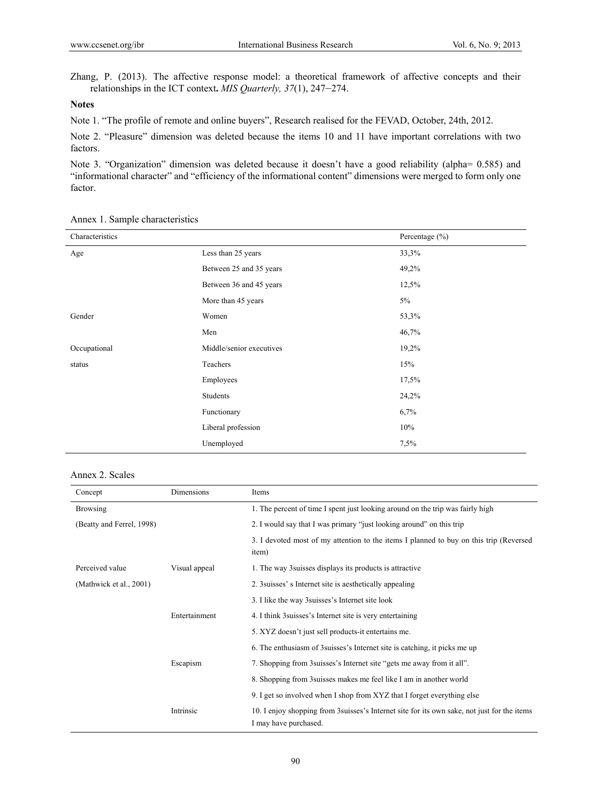Zhang, P. (2013). The affective response model: a theoretical framework of affective concepts and their relationships in the ICT context**.** *MIS Quarterly, 37*(1), 247–274.

# **Notes**

Note 1. "The profile of remote and online buyers", Research realised for the FEVAD, October, 24th, 2012.

Note 2. "Pleasure" dimension was deleted because the items 10 and 11 have important correlations with two factors.

Note 3. "Organization" dimension was deleted because it doesn't have a good reliability (alpha= 0.585) and "informational character" and "efficiency of the informational content" dimensions were merged to form only one factor.

| Characteristics |                          | Percentage $(\% )$ |
|-----------------|--------------------------|--------------------|
| Age             | Less than 25 years       | 33,3%              |
|                 | Between 25 and 35 years  | 49,2%              |
|                 | Between 36 and 45 years  | 12,5%              |
|                 | More than 45 years       | 5%                 |
| Gender          | Women                    | 53,3%              |
|                 | Men                      | 46,7%              |
| Occupational    | Middle/senior executives | 19,2%              |
| status          | Teachers                 | 15%                |
|                 | Employees                | 17,5%              |
|                 | Students                 | 24,2%              |
|                 | Functionary              | 6,7%               |
|                 | Liberal profession       | 10%                |
|                 | Unemployed               | 7,5%               |

Annex 1. Sample characteristics

#### Annex 2. Scales

| Concept                   | Dimensions    | Items                                                                                                                 |
|---------------------------|---------------|-----------------------------------------------------------------------------------------------------------------------|
| <b>Browsing</b>           |               | 1. The percent of time I spent just looking around on the trip was fairly high                                        |
| (Beatty and Ferrel, 1998) |               | 2. I would say that I was primary "just looking around" on this trip                                                  |
|                           |               | 3. I devoted most of my attention to the items I planned to buy on this trip (Reversed<br>item)                       |
| Perceived value           | Visual appeal | 1. The way 3 suisses displays its products is attractive                                                              |
| (Mathwick et al., 2001)   |               | 2. 3 suisses' s Internet site is aesthetically appealing                                                              |
|                           |               | 3. I like the way 3 suisses's Internet site look                                                                      |
|                           | Entertainment | 4. I think 3 suisses's Internet site is very entertaining                                                             |
|                           |               | 5. XYZ doesn't just sell products-it entertains me.                                                                   |
|                           |               | 6. The enthusiasm of 3 suisses's Internet site is catching, it picks me up                                            |
|                           | Escapism      | 7. Shopping from 3 suisses's Internet site "gets me away from it all".                                                |
|                           |               | 8. Shopping from 3 suisses makes me feel like I am in another world                                                   |
|                           |               | 9. I get so involved when I shop from XYZ that I forget everything else                                               |
|                           | Intrinsic     | 10. I enjoy shopping from 3 suisses's Internet site for its own sake, not just for the items<br>I may have purchased. |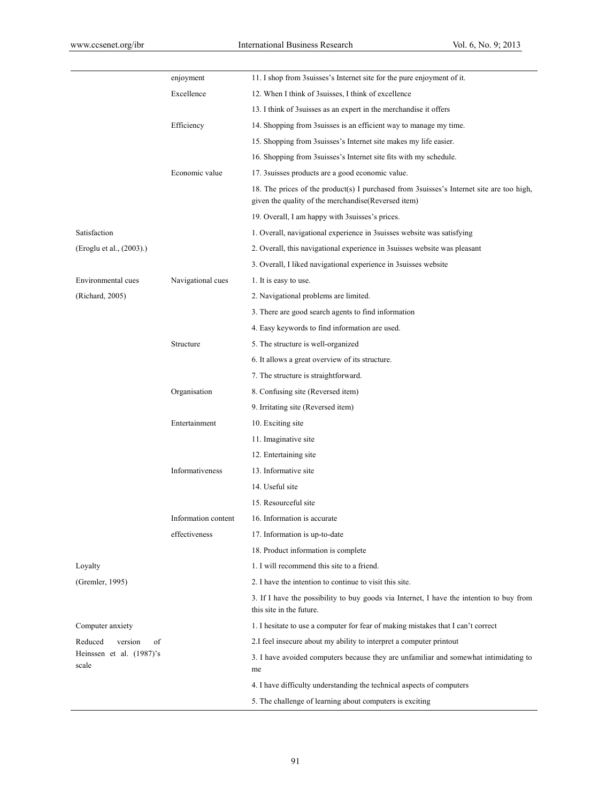|                                   | enjoyment           | 11. I shop from 3 suisses's Internet site for the pure enjoyment of it.                                                                           |
|-----------------------------------|---------------------|---------------------------------------------------------------------------------------------------------------------------------------------------|
|                                   | Excellence          | 12. When I think of 3 suisses, I think of excellence                                                                                              |
|                                   |                     | 13. I think of 3 suisses as an expert in the merchandise it offers                                                                                |
|                                   | Efficiency          | 14. Shopping from 3 suisses is an efficient way to manage my time.                                                                                |
|                                   |                     | 15. Shopping from 3 suisses's Internet site makes my life easier.                                                                                 |
|                                   |                     | 16. Shopping from 3 suisses's Internet site fits with my schedule.                                                                                |
|                                   | Economic value      | 17. 3 suisses products are a good economic value.                                                                                                 |
|                                   |                     | 18. The prices of the product(s) I purchased from 3 suisses's Internet site are too high,<br>given the quality of the merchandise (Reversed item) |
|                                   |                     | 19. Overall, I am happy with 3 suisses's prices.                                                                                                  |
| Satisfaction                      |                     | 1. Overall, navigational experience in 3 suisses website was satisfying                                                                           |
| (Eroglu et al., (2003).)          |                     | 2. Overall, this navigational experience in 3 suisses website was pleasant                                                                        |
|                                   |                     | 3. Overall, I liked navigational experience in 3 suisses website                                                                                  |
| Environmental cues                | Navigational cues   | 1. It is easy to use.                                                                                                                             |
| (Richard, 2005)                   |                     | 2. Navigational problems are limited.                                                                                                             |
|                                   |                     | 3. There are good search agents to find information                                                                                               |
|                                   |                     | 4. Easy keywords to find information are used.                                                                                                    |
|                                   | Structure           | 5. The structure is well-organized                                                                                                                |
|                                   |                     | 6. It allows a great overview of its structure.                                                                                                   |
|                                   |                     | 7. The structure is straightforward.                                                                                                              |
|                                   | Organisation        | 8. Confusing site (Reversed item)                                                                                                                 |
|                                   |                     | 9. Irritating site (Reversed item)                                                                                                                |
|                                   | Entertainment       | 10. Exciting site                                                                                                                                 |
|                                   |                     | 11. Imaginative site                                                                                                                              |
|                                   |                     | 12. Entertaining site                                                                                                                             |
|                                   | Informativeness     | 13. Informative site                                                                                                                              |
|                                   |                     | 14. Useful site                                                                                                                                   |
|                                   |                     | 15. Resourceful site                                                                                                                              |
|                                   | Information content | 16. Information is accurate                                                                                                                       |
|                                   | effectiveness       | 17. Information is up-to-date                                                                                                                     |
|                                   |                     | 18. Product information is complete                                                                                                               |
| Loyalty                           |                     | 1. I will recommend this site to a friend.                                                                                                        |
| (Gremler, 1995)                   |                     | 2. I have the intention to continue to visit this site.                                                                                           |
|                                   |                     | 3. If I have the possibility to buy goods via Internet, I have the intention to buy from<br>this site in the future.                              |
| Computer anxiety                  |                     | 1. I hesitate to use a computer for fear of making mistakes that I can't correct                                                                  |
| Reduced<br>version<br>of          |                     | 2.I feel insecure about my ability to interpret a computer printout                                                                               |
| Heinssen et al. (1987)'s<br>scale |                     | 3. I have avoided computers because they are unfamiliar and somewhat intimidating to<br>me                                                        |
|                                   |                     | 4. I have difficulty understanding the technical aspects of computers                                                                             |
|                                   |                     | 5. The challenge of learning about computers is exciting                                                                                          |